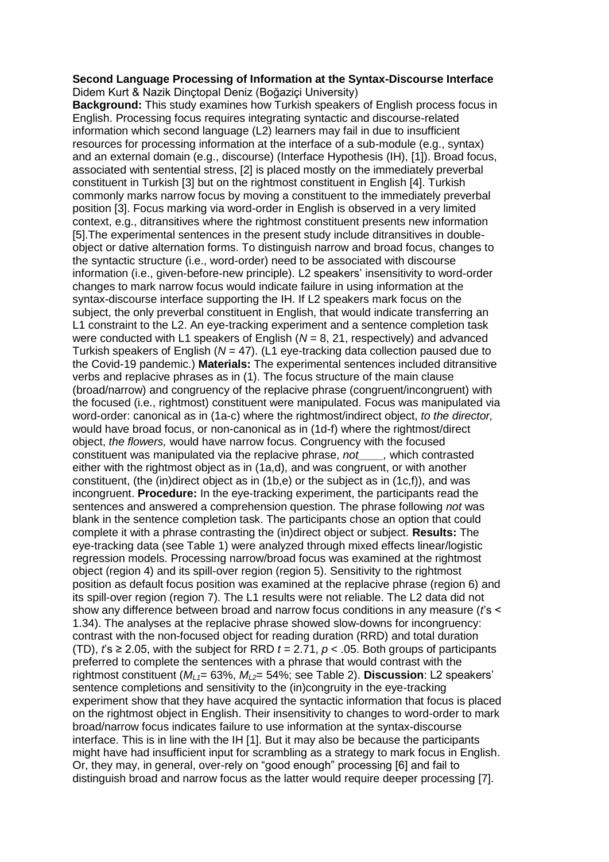## **Second Language Processing of Information at the Syntax-Discourse Interface** Didem Kurt & Nazik Dinçtopal Deniz (Boğaziçi University)

**Background:** This study examines how Turkish speakers of English process focus in English. Processing focus requires integrating syntactic and discourse-related information which second language (L2) learners may fail in due to insufficient resources for processing information at the interface of a sub-module (e.g., syntax) and an external domain (e.g., discourse) (Interface Hypothesis (IH), [1]). Broad focus, associated with sentential stress, [2] is placed mostly on the immediately preverbal constituent in Turkish [3] but on the rightmost constituent in English [4]. Turkish commonly marks narrow focus by moving a constituent to the immediately preverbal position [3]. Focus marking via word-order in English is observed in a very limited context, e.g., ditransitives where the rightmost constituent presents new information [5].The experimental sentences in the present study include ditransitives in doubleobject or dative alternation forms. To distinguish narrow and broad focus, changes to the syntactic structure (i.e., word-order) need to be associated with discourse information (i.e., given-before-new principle). L2 speakers' insensitivity to word-order changes to mark narrow focus would indicate failure in using information at the syntax-discourse interface supporting the IH. If L2 speakers mark focus on the subject, the only preverbal constituent in English, that would indicate transferring an L1 constraint to the L2. An eye-tracking experiment and a sentence completion task were conducted with L1 speakers of English (*N* = 8, 21, respectively) and advanced Turkish speakers of English (*N* = 47). (L1 eye-tracking data collection paused due to the Covid-19 pandemic.) **Materials:** The experimental sentences included ditransitive verbs and replacive phrases as in (1). The focus structure of the main clause (broad/narrow) and congruency of the replacive phrase (congruent/incongruent) with the focused (i.e., rightmost) constituent were manipulated. Focus was manipulated via word-order: canonical as in (1a-c) where the rightmost/indirect object, *to the director,* would have broad focus, or non-canonical as in (1d-f) where the rightmost/direct object, *the flowers,* would have narrow focus. Congruency with the focused constituent was manipulated via the replacive phrase, *not\_\_\_\_,* which contrasted either with the rightmost object as in (1a,d), and was congruent, or with another constituent, (the (in)direct object as in (1b,e) or the subject as in (1c,f)), and was incongruent. **Procedure:** In the eye-tracking experiment, the participants read the sentences and answered a comprehension question. The phrase following *not* was blank in the sentence completion task. The participants chose an option that could complete it with a phrase contrasting the (in)direct object or subject. **Results:** The eye-tracking data (see Table 1) were analyzed through mixed effects linear/logistic regression models. Processing narrow/broad focus was examined at the rightmost object (region 4) and its spill-over region (region 5). Sensitivity to the rightmost position as default focus position was examined at the replacive phrase (region 6) and its spill-over region (region 7). The L1 results were not reliable. The L2 data did not show any difference between broad and narrow focus conditions in any measure (*t*'s < 1.34). The analyses at the replacive phrase showed slow-downs for incongruency: contrast with the non-focused object for reading duration (RRD) and total duration (TD),  $f_s \ge 2.05$ , with the subject for RRD  $t = 2.71$ ,  $p < .05$ . Both groups of participants preferred to complete the sentences with a phrase that would contrast with the rightmost constituent (*ML1*= 63%, *ML2*= 54%; see Table 2). **Discussion**: L2 speakers' sentence completions and sensitivity to the (in)congruity in the eye-tracking experiment show that they have acquired the syntactic information that focus is placed on the rightmost object in English. Their insensitivity to changes to word-order to mark broad/narrow focus indicates failure to use information at the syntax-discourse interface. This is in line with the IH [1]. But it may also be because the participants might have had insufficient input for scrambling as a strategy to mark focus in English. Or, they may, in general, over-rely on "good enough" processing [6] and fail to distinguish broad and narrow focus as the latter would require deeper processing [7].